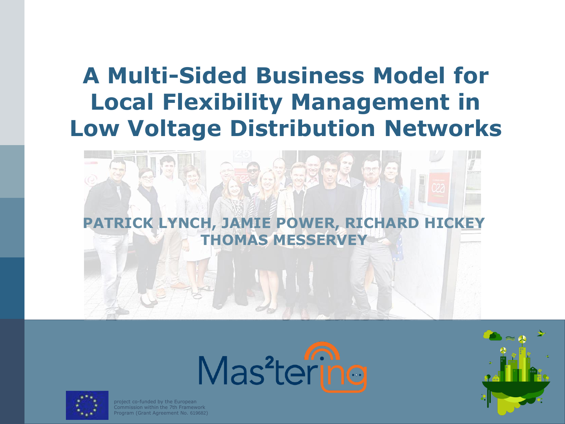## **A Multi-Sided Business Model for Local Flexibility Management in Low Voltage Distribution Networks**







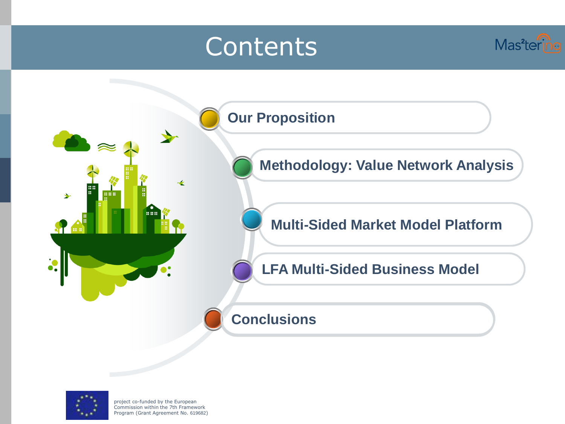## **Contents**





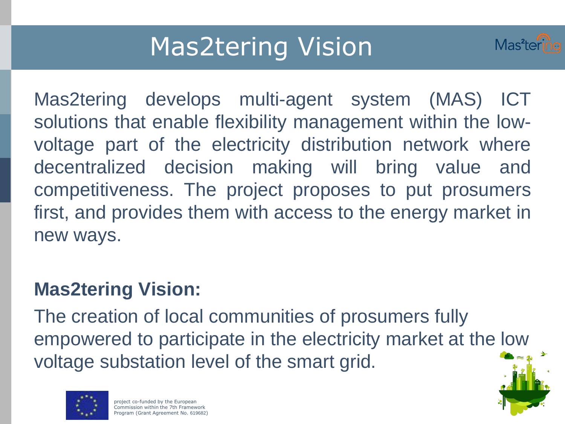# Mas2tering Vision



Mas2tering develops multi-agent system (MAS) ICT solutions that enable flexibility management within the lowvoltage part of the electricity distribution network where decentralized decision making will bring value and competitiveness. The project proposes to put prosumers first, and provides them with access to the energy market in new ways.

### **Mas2tering Vision:**

The creation of local communities of prosumers fully empowered to participate in the electricity market at the low voltage substation level of the smart grid.

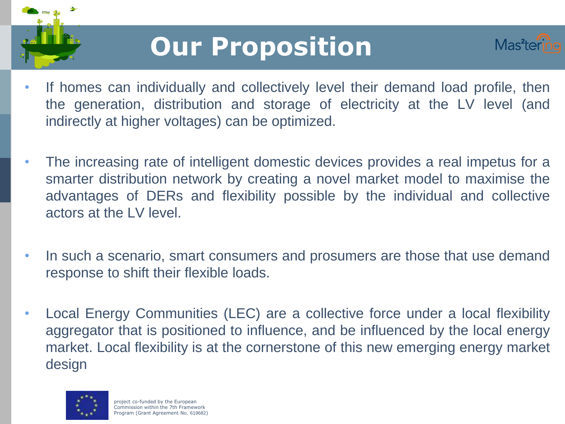

# **Our Proposition**



- If homes can individually and collectively level their demand load profile, then the generation, distribution and storage of electricity at the LV level (and indirectly at higher voltages) can be optimized.
- The increasing rate of intelligent domestic devices provides a real impetus for a smarter distribution network by creating a novel market model to maximise the advantages of DERs and flexibility possible by the individual and collective actors at the LV level.
- In such a scenario, smart consumers and prosumers are those that use demand response to shift their flexible loads.
- Local Energy Communities (LEC) are a collective force under a local flexibility aggregator that is positioned to influence, and be influenced by the local energy market. Local flexibility is at the cornerstone of this new emerging energy market design

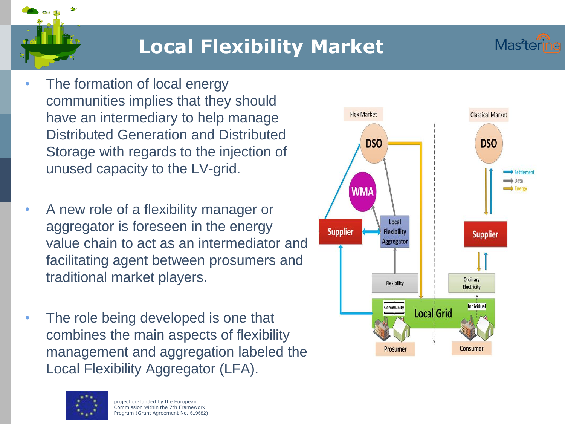

## **Local Flexibility Market**

- The formation of local energy communities implies that they should have an intermediary to help manage Distributed Generation and Distributed Storage with regards to the injection of unused capacity to the LV-grid.
- A new role of a flexibility manager or aggregator is foreseen in the energy value chain to act as an intermediator and facilitating agent between prosumers and traditional market players.
- The role being developed is one that combines the main aspects of flexibility management and aggregation labeled the Local Flexibility Aggregator (LFA).





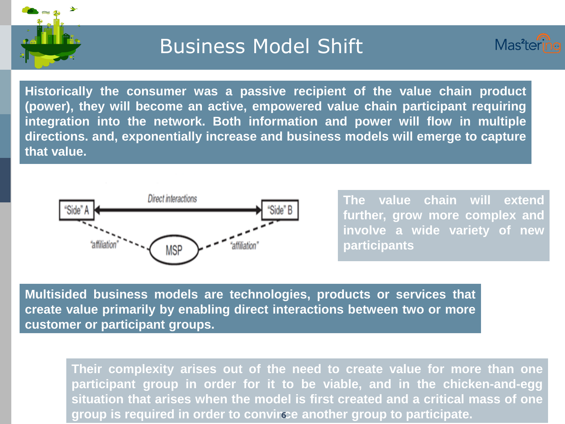

#### Business Model Shift



**Historically the consumer was a passive recipient of the value chain product (power), they will become an active, empowered value chain participant requiring integration into the network. Both information and power will flow in multiple directions. and, exponentially increase and business models will emerge to capture that value.**



**The value chain will extend further, grow more complex and involve a wide variety of new participants**

**Multisided business models are technologies, products or services that create value primarily by enabling direct interactions between two or more customer or participant groups.**

> project co-funded by the European **situation that arises when the model is first created and a critical mass of one** group is required in order to convirce another group to participate. **Their complexity arises out of the need to create value for more than one participant group in order for it to be viable, and in the chicken-and-egg**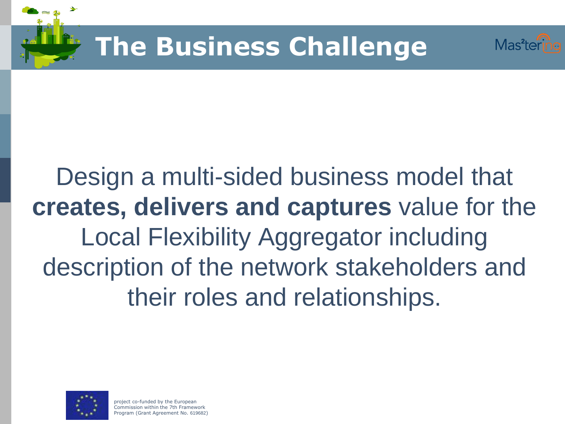



# Design a multi-sided business model that **creates, delivers and captures** value for the Local Flexibility Aggregator including description of the network stakeholders and their roles and relationships.

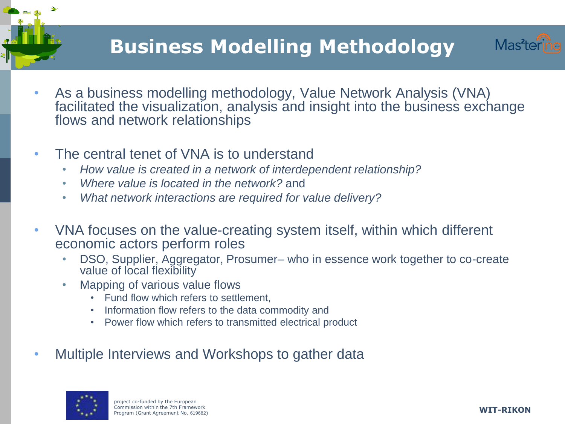### **Business Modelling Methodology**



- As a business modelling methodology, Value Network Analysis (VNA) facilitated the visualization, analysis and insight into the business exchange flows and network relationships
- The central tenet of VNA is to understand
	- *How value is created in a network of interdependent relationship?*
	- *Where value is located in the network?* and
	- *What network interactions are required for value delivery?*
- VNA focuses on the value-creating system itself, within which different economic actors perform roles
	- DSO, Supplier, Aggregator, Prosumer– who in essence work together to co-create value of local flexibility
	- Mapping of various value flows
		- Fund flow which refers to settlement,
		- Information flow refers to the data commodity and
		- Power flow which refers to transmitted electrical product
- Multiple Interviews and Workshops to gather data

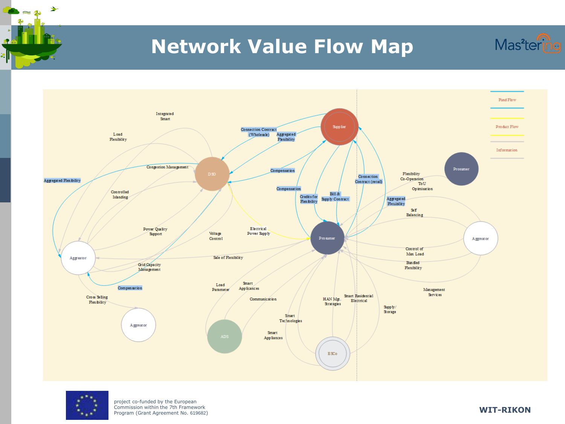#### **Network Value Flow Map**







 $\rightarrow$ 

 $\approx$ 

project co-funded by the European Commission within the 7th Framework Program (Grant Agreement No. 619682)

**WIT-RIKON**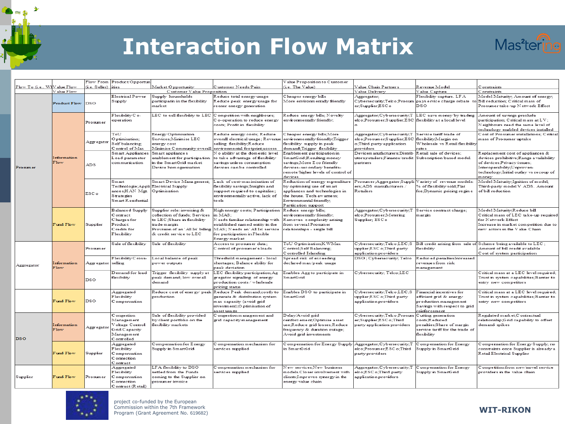



|                              |                                   |                  | Flow From Product/Opportun                                                                          |                                                                                                                                         |                                                                                                                                                                                                                                                              | Value Proposition to Customer                                                                                                                                                  |                                                                                                    |                                                                                                                              |                                                                                                                                                                                              |
|------------------------------|-----------------------------------|------------------|-----------------------------------------------------------------------------------------------------|-----------------------------------------------------------------------------------------------------------------------------------------|--------------------------------------------------------------------------------------------------------------------------------------------------------------------------------------------------------------------------------------------------------------|--------------------------------------------------------------------------------------------------------------------------------------------------------------------------------|----------------------------------------------------------------------------------------------------|------------------------------------------------------------------------------------------------------------------------------|----------------------------------------------------------------------------------------------------------------------------------------------------------------------------------------------|
| Flow To (i.e., WHV alue Flow |                                   | $(i.e. Select)$  | ities                                                                                               | Market Opportunity                                                                                                                      | Customer Needs/Pain                                                                                                                                                                                                                                          | ie. The Value)                                                                                                                                                                 | Value Chain Partners                                                                               | Reverse Model                                                                                                                | C onstraints                                                                                                                                                                                 |
|                              | alue Flow                         |                  |                                                                                                     | Customer V alue Proposition                                                                                                             |                                                                                                                                                                                                                                                              |                                                                                                                                                                                | Value Delivery                                                                                     | Value Capture                                                                                                                | C onstraints                                                                                                                                                                                 |
| Prosumer                     | Product Flow DSO                  |                  | Electrical Power<br>Supply                                                                          | Supply households<br>participatin in the flexibility<br>market                                                                          | Reduce total energy usage<br>Reduce peak energy usage for<br>eener energy generation                                                                                                                                                                         | Cheaper energy bills<br>More environmentally friendly                                                                                                                          | Aggregator;<br>Cybersecurity; Telco;Prosum<br>er:Supplier:ESCo                                     | Flexibility capture. LFA<br>pays ervice charge rebate to<br><b>DSO</b>                                                       | Model Maturity; Amount of energy;<br>Bill reduction: Critical mass of<br>Prosumer take-up Network Effect                                                                                     |
|                              | <b>Information</b><br><b>Flow</b> | Prosumer         | Flexibility Co-<br>operation                                                                        |                                                                                                                                         | LEC to sell flexibility to LEC Competition with neighbours;<br>Co-operation to reduce energy<br>costs; Profit in flexibility                                                                                                                                 | Reduce energy bills; Novelty<br>environmentally friendly;                                                                                                                      | Aggregator;Cybersecurity;T<br>elco;Prosumer;Supplier;ESC flexibility at a local level              | LEC save money by trading                                                                                                    | Amount of savings preclude<br>participation; Critical mass at LV;<br>Neighbours need the same level of<br>technology enabled devices installed                                               |
|                              |                                   | Aggregator       | ToU<br>Optimisation;<br>Self balancing:<br>Control of Max                                           | Energy Optimisation<br>Services; Minimise LEC<br>energy cost<br>Minimise Community overall                                              | Reduce energy costs; Reduce<br>overall electrical usage; Revenue<br>elling flexibility;Reduce<br>environmental footprint; access                                                                                                                             | Cheaper energy bills: More<br>environmentally friendly; Trigger<br>flexibility supply in peak<br>demand; Trigger flexibility                                                   | Aggregator:Cybersecurity:T<br>elco;Prosumer;Supplier;ESC<br>o;Third party application<br>providers | Service tariff trade of<br>flexibility;Margin on<br>Wholesale vs Retail flexibility<br>ate s                                 | Cost of Prosumer installations: Critical<br>mass of Prosumer uptake                                                                                                                          |
|                              |                                   | ADS              | <b>Smart Appliances</b><br>Load parameter<br>communication                                          | Smart appliances<br>nablement for participation<br>in the SmartGrid market<br>Device homogenisation                                     | <b>Voability</b> at the domestic level<br>to take advantage of flexibility<br>savings unless consumption<br>devices can be controlled                                                                                                                        | Enablem ent participation in<br>SmartGrid:Resulting money<br>savings; More Eco friendly<br>devices-secondary benefits-<br>remote/higher levels of control of<br>devices        | Devicem anufacturers: Distrib<br>utor sur etailers :Finance/credit<br>partners                     | Retail sale of devices:<br>Subscription based model                                                                          | Replacement cost of appliances &<br>devices prohibitive; Range a vailability<br>of devices: Privacy issues:<br>Interoperability;Unproven-<br>technology;Initial outlay vs recoup of<br>money |
|                              |                                   | ESC <sub>o</sub> | Smart<br>Technologie; Appli Electrical Supply<br>ance s;HAN Mgt.<br>Strategies<br>Smart Residential | Smart Device Management:<br>Optimisation                                                                                                | Lack of cost-maximisation of<br>flexibility savings; Insights and<br>support required to capitalise;<br>environmentally active, lack of<br>tools                                                                                                             | Reduction of energy expenditure<br>by optimising use of smart<br>appliances and technologies in<br>the house. Tech awarness;<br>Environmental friendly;<br>Partication support | Prosumer;Aggregator;Suppli Variety of revenue models:<br>ers: ADS manufacturers /<br>Retailers     | % of flexibility sold:Flat<br>fee;Dynamic pricing regime                                                                     | Model Maturity:Ignition of model:<br>Third-party model V ADS. Amount<br>of bill reduction                                                                                                    |
|                              | Fund Flow                         | Supplier         | Balanced Supply<br>C ontract<br>Charges for<br>Product<br>Credits for<br>Flexibility                | Supplier role: invoicing &<br>collection of funds; Services<br>to LEC ;Share in flexibility<br>tra de margin<br>& credit service to LEC | High energy costs; Participation Reduce energy bills;<br>in MAS:<br>Needs familiar relationship with<br>established named entity in the<br>Provision of an 'All In' billing MAS; Needs an 'All In' service<br>for participation in Flexible<br>Energy market | environmentally friendly;<br>Removes complexity arising<br>from several Prosumer<br>relationships - single bill                                                                | Aggregator;Cybersecurity;T Service contract charge;<br>elco;Prosumer;Metering<br>Supplier; ESC o   | margin                                                                                                                       | Model Maturity:Reduce bill<br>Critical mass of LEC take-up required<br>for Network Effect<br>Increase in market competition due to<br>new actors in the Value Chain                          |
| Aggregator                   | Information<br>Flow               | Prosumer         | Sale of flexibility                                                                                 | Sale of flexibility                                                                                                                     | Access to prosumer data;<br>Control of prosumer's loads                                                                                                                                                                                                      | ToU Optimisation;K WMax<br>Control:Self Balancing:<br>Controlled Islanding                                                                                                     | Cybersecurity; Telco;LEC;S<br>upplier:ESC o:Third party<br>application providers                   | flexibility                                                                                                                  | Bill credit arising from sale of Scheme being available to LEC;<br>Amount of bill credit available<br>Cost of system participation                                                           |
|                              |                                   | Aggregator       | Flexibility Cross-<br>selling                                                                       | Local balance of peak<br>power outputs                                                                                                  | Threshold management - local<br>shortages; Balance ability for<br>peak deviation                                                                                                                                                                             | Spread risk of exceeding<br>declared max/peak usage                                                                                                                            | DSO; Cybersecurity; Telco                                                                          | Reduced penaltiesIncreased<br>revenues from risk<br>management                                                               |                                                                                                                                                                                              |
|                              |                                   | <b>DSO</b>       | Demand for load<br>flexibility                                                                      | Trigger flexibility supply at<br>peak demand; low overall<br>demand                                                                     | LEC flex ibility participation; Ag<br>gregator signalling of energy<br>production costs / wholesale<br>pricing status                                                                                                                                        | Enables Agg to participate in<br>SmartGrid                                                                                                                                     | Cybersecurity; Telco;LEC                                                                           |                                                                                                                              | Critical mass at a LEC level required;<br>Trust in system capabilities; Barrier to<br>entry new competitors                                                                                  |
|                              | Fund Flow                         | <b>DSO</b>       | Aggregated<br>Flexibility<br>Compensation                                                           | production                                                                                                                              | Reduce cost of energy/ peak Reduce Peak demand;costly to<br>generate & distribution system<br>max capacity (avoid grid<br>investment); Optimisation of<br>isset usage                                                                                        | Enables DSO to participate in<br>SmartGrid                                                                                                                                     | Cybersecurity:Telco:LEC:S<br>upplier:ESC o;Third party<br>application providers                    | Financial incentives for<br>efficient grid & energy<br>production management<br>Savings with respect to grid<br>einforcement | Critical mass at a LEC level required:<br>Trust in system capabilities; Barrier to<br>entry new competitors                                                                                  |
| <b>DSO</b>                   | Information<br>Flow.              | Aggregator       | C ongestion<br>Managem ent<br>oltage Control<br>Grid Capacity<br>Management<br>Controlled           | Sale of flexibility provided<br>by client portfolio on the<br>flexibility markets                                                       | Congestion management and<br>grid capacity management                                                                                                                                                                                                        | Delay/Avoid grid<br>reinforcement:Optimise asset<br>use;Reduce grid losses;Reduce<br>frequency & duration outage;<br>Avoid grid investments                                    | Cybersecurity; Telco; Prosum<br>er:Supplier:ESCo:Third<br>party application providers              | Cutting generation<br>osts:Reduced:<br>penalties;Share of margin<br>service tariff for the trade of<br>flexibility           | Regulated market;Contractual<br>relationship:Grid capability to offset<br>demand spikes                                                                                                      |
|                              | Fund Flow                         | Supplier         | Aggregated<br>Flexibility<br>Compensation<br>C onnection<br>Contract                                | Compensation for Energy<br>Supply in SmartGrid                                                                                          | C ompensation mechanism for<br>services supplied                                                                                                                                                                                                             | Compensation for Energy Supply<br>in SmartGrid                                                                                                                                 | Aggregator:Cybersecurity:T<br>elco;Prosumer;ESCo;Third<br>party providers                          | Compensation for Energy<br>Supply in SmartGrid                                                                               | Compensation for Energy Supply; no<br>constraints once Supplier is already a<br>Retail Electrical Supplier                                                                                   |
| Supplier                     | Fund Flow                         | Prosumer         | Aggregated<br>Flexibility<br>C ompensation<br>C onnection<br>Contract (Retail)                      | LFA flexibility to DSO<br>settled from the Funds<br>coming to the Supplier on<br>prosumer invoice                                       | C ompensation mechanism for<br>services supplied                                                                                                                                                                                                             | New services; New business<br>m odels.Closer involvement with<br>clients; Improves synergy in the<br>energy value chain                                                        | Aggregator;Cybersecurity;T<br>elco:ESCo:Third party<br>application providers                       | Compensation for Energy<br>Supply in SmartGrid                                                                               | Competition from new/novel service<br>providers in the value chain                                                                                                                           |



 $\approx$ 

project co-funded by the European Commission within the 7th Framework Program (Grant Agreement No. 619682)

**WIT-RIKON**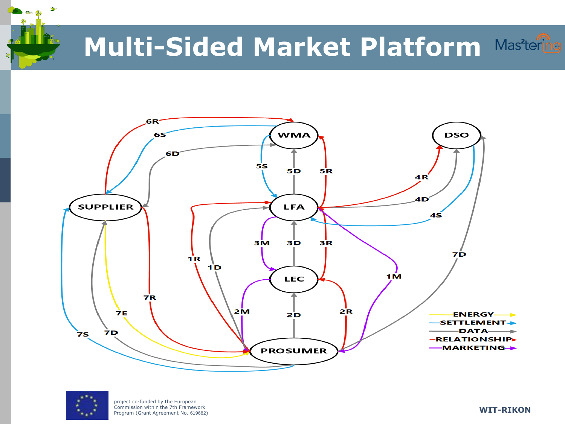



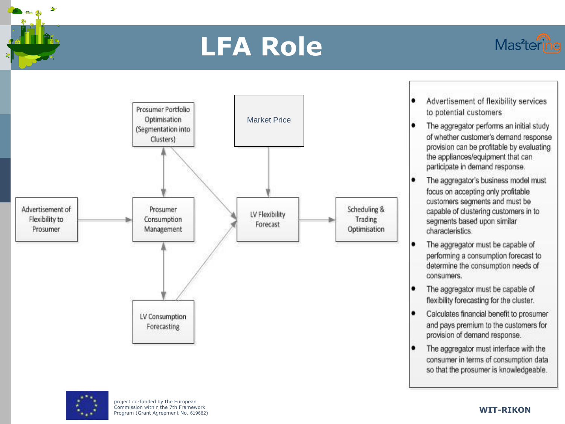## **LFA Role**





- Advertisement of flexibility services to potential customers
- The aggregator performs an initial study of whether customer's demand response provision can be profitable by evaluating the appliances/equipment that can participate in demand response.
- The aggregator's business model must focus on accepting only profitable customers segments and must be capable of clustering customers in to segments based upon similar characteristics.
- The aggregator must be capable of performing a consumption forecast to determine the consumption needs of consumers.
- The aggregator must be capable of flexibility forecasting for the cluster.
- Calculates financial benefit to prosumer and pays premium to the customers for provision of demand response.
- The aggregator must interface with the  $\bullet$ consumer in terms of consumption data so that the prosumer is knowledgeable.

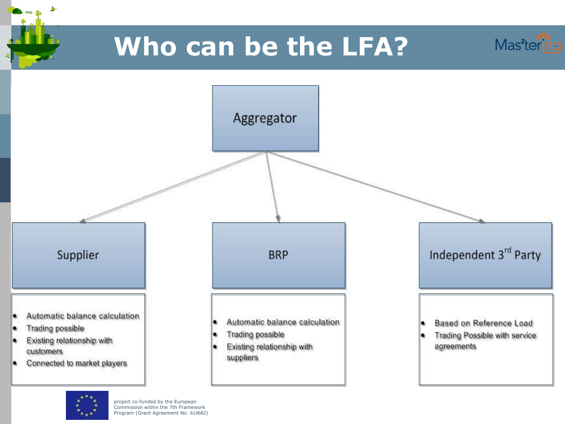

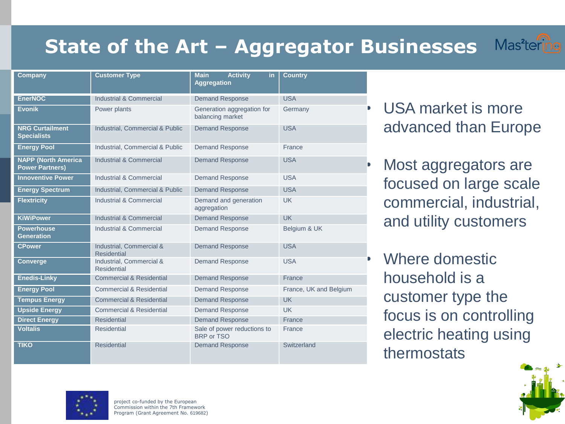#### **State of the Art – Aggregator Businesses** Mas<sup>2</sup>ter

| <b>Company</b>                                       | <b>Customer Type</b>                           | <b>Main</b><br><b>Activity</b><br>in.<br><b>Aggregation</b> | <b>Country</b>         |
|------------------------------------------------------|------------------------------------------------|-------------------------------------------------------------|------------------------|
| <b>EnerNOC</b>                                       | Industrial & Commercial                        | <b>Demand Response</b>                                      | <b>USA</b>             |
| <b>Evonik</b>                                        | Power plants                                   | Generation aggregation for<br>balancing market              | Germany                |
| <b>NRG Curtailment</b><br><b>Specialists</b>         | Industrial, Commercial & Public                | <b>Demand Response</b>                                      | <b>USA</b>             |
| <b>Energy Pool</b>                                   | Industrial, Commercial & Public                | <b>Demand Response</b>                                      | France                 |
| <b>NAPP (North America</b><br><b>Power Partners)</b> | Industrial & Commercial                        | <b>Demand Response</b>                                      | <b>USA</b>             |
| <b>Innoventive Power</b>                             | Industrial & Commercial                        | <b>Demand Response</b>                                      | <b>USA</b>             |
| <b>Energy Spectrum</b>                               | Industrial, Commercial & Public                | <b>Demand Response</b>                                      | <b>USA</b>             |
| <b>Flextricity</b>                                   | Industrial & Commercial                        | Demand and generation<br>aggregation                        | <b>UK</b>              |
| <b>KiWiPower</b>                                     | <b>Industrial &amp; Commercial</b>             | <b>Demand Response</b>                                      | <b>UK</b>              |
| <b>Powerhouse</b><br><b>Generation</b>               | Industrial & Commercial                        | <b>Demand Response</b>                                      | Belgium & UK           |
| <b>CPower</b>                                        | Industrial, Commercial &<br><b>Residential</b> | <b>Demand Response</b>                                      | <b>USA</b>             |
| <b>Converge</b>                                      | Industrial, Commercial &<br><b>Residential</b> | <b>Demand Response</b>                                      | <b>USA</b>             |
| <b>Enedis-Linky</b>                                  | <b>Commercial &amp; Residential</b>            | <b>Demand Response</b>                                      | France                 |
| <b>Energy Pool</b>                                   | <b>Commercial &amp; Residential</b>            | <b>Demand Response</b>                                      | France, UK and Belgium |
| <b>Tempus Energy</b>                                 | <b>Commercial &amp; Residential</b>            | <b>Demand Response</b>                                      | <b>UK</b>              |
| <b>Upside Energy</b>                                 | <b>Commercial &amp; Residential</b>            | <b>Demand Response</b>                                      | <b>UK</b>              |
| <b>Direct Energy</b>                                 | <b>Residential</b>                             | <b>Demand Response</b>                                      | France                 |
| <b>Voltalis</b>                                      | <b>Residential</b>                             | Sale of power reductions to<br><b>BRP or TSO</b>            | France                 |
| <b>TIKO</b>                                          | <b>Residential</b>                             | <b>Demand Response</b>                                      | Switzerland            |

- USA market is more advanced than Europe
	- Most aggregators are focused on large scale commercial, industrial, and utility customers
- Where domestic household is a customer type the focus is on controlling electric heating using thermostats



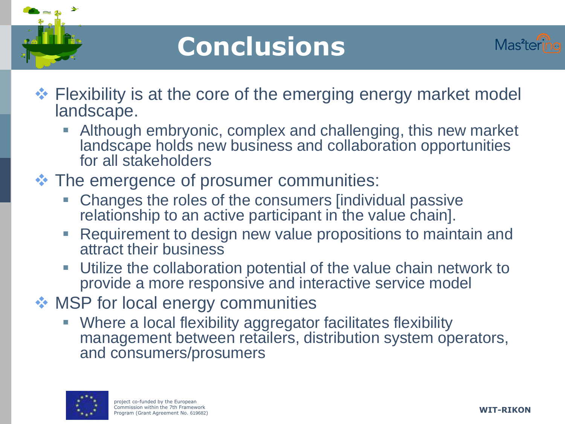

# **Conclusions**



- **Example Fiexibility is at the core of the emerging energy market model** landscape.
	- Although embryonic, complex and challenging, this new market landscape holds new business and collaboration opportunities for all stakeholders
- $\triangle$  **The emergence of prosumer communities:** 
	- Changes the roles of the consumers [individual passive relationship to an active participant in the value chain].
	- Requirement to design new value propositions to maintain and attract their business
	- Utilize the collaboration potential of the value chain network to provide a more responsive and interactive service model
- **❖ MSP for local energy communities** 
	- Where a local flexibility aggregator facilitates flexibility management between retailers, distribution system operators, and consumers/prosumers

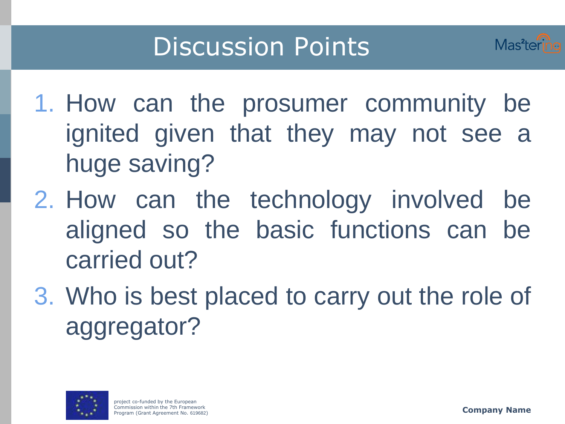

- 1. How can the prosumer community be ignited given that they may not see a huge saving?
- 2. How can the technology involved be aligned so the basic functions can be carried out?
- 3. Who is best placed to carry out the role of aggregator?